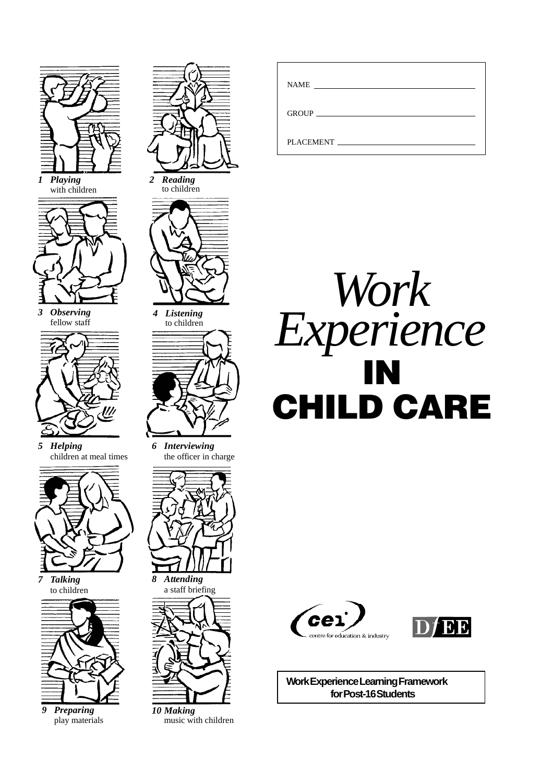

*1 Playing* with children



*3 Observing* fellow staff



*5 Helping* children at meal times



*7 Talking* to children



*9 Preparing* play materials



*2 Reading* to children



*4 Listening*



*6 Interviewing* the officer in charge



*8 Attending* a staff briefing



*10 Making* music with children

| <b>NAME</b><br><u> 1989 - Andrea Albert III, am bhaile an t-Albert III, an t-Albert III, an t-Albert III, an t-Albert III, an t-</u> |
|--------------------------------------------------------------------------------------------------------------------------------------|
|                                                                                                                                      |
| <b>PLACEMENT</b>                                                                                                                     |







**Work Experience Learning Framework for Post-16 Students**